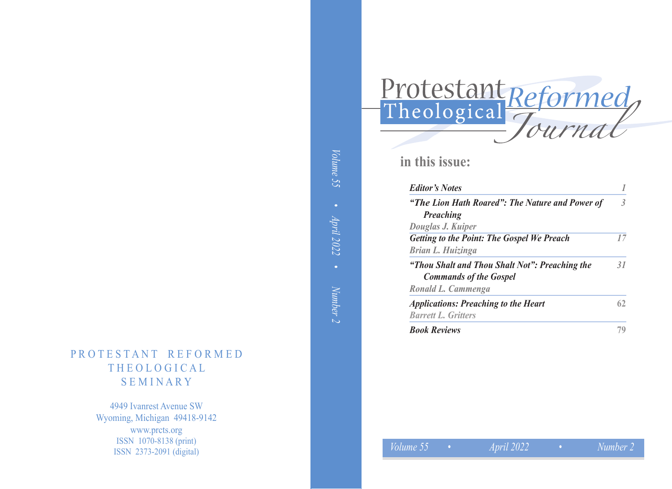# Volume 55 *Volume 55 • April 2022 • Number 2* • April 2022 Number 2

## PROTESTANT REFORMED THE OLOGICAL **SEMINARY**

4949 Ivanrest Avenue SW Wyoming, Michigan 49418-9142 www.prcts.org ISSN 1070-8138 (print) ISSN 2373-2091 (digital)

| Protestant Reformed |
|---------------------|
| Tournal             |

## **in this issue:**

| <b>Editor's Notes</b>                                                           |    |
|---------------------------------------------------------------------------------|----|
| "The Lion Hath Roared": The Nature and Power of<br><b>Preaching</b>             | 3  |
| Douglas J. Kuiper                                                               |    |
| <b>Getting to the Point: The Gospel We Preach</b>                               | 17 |
| Brian L. Huizinga                                                               |    |
| "Thou Shalt and Thou Shalt Not": Preaching the<br><b>Commands of the Gospel</b> | 31 |
| Ronald L. Cammenga                                                              |    |
| <b>Applications: Preaching to the Heart</b>                                     | 62 |
| <b>Barrett L. Gritters</b>                                                      |    |
| <b>Book Reviews</b>                                                             |    |

*Volume 55*

*• Number 2*